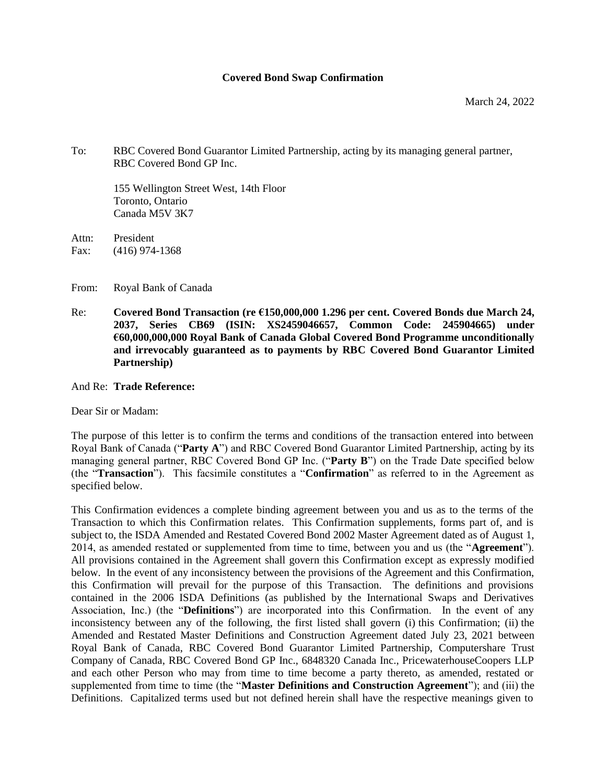#### **Covered Bond Swap Confirmation**

To: RBC Covered Bond Guarantor Limited Partnership, acting by its managing general partner, RBC Covered Bond GP Inc.

155 Wellington Street West, 14th Floor Toronto, Ontario Canada M5V 3K7

Attn: President Fax: (416) 974-1368

From: Royal Bank of Canada

Re: **Covered Bond Transaction (re €150,000,000 1.296 per cent. Covered Bonds due March 24, 2037, Series CB69 (ISIN: XS2459046657, Common Code: 245904665) under €60,000,000,000 Royal Bank of Canada Global Covered Bond Programme unconditionally and irrevocably guaranteed as to payments by RBC Covered Bond Guarantor Limited Partnership)**

#### And Re: **Trade Reference:**

Dear Sir or Madam:

The purpose of this letter is to confirm the terms and conditions of the transaction entered into between Royal Bank of Canada ("**Party A**") and RBC Covered Bond Guarantor Limited Partnership, acting by its managing general partner, RBC Covered Bond GP Inc. ("**Party B**") on the Trade Date specified below (the "**Transaction**"). This facsimile constitutes a "**Confirmation**" as referred to in the Agreement as specified below.

This Confirmation evidences a complete binding agreement between you and us as to the terms of the Transaction to which this Confirmation relates. This Confirmation supplements, forms part of, and is subject to, the ISDA Amended and Restated Covered Bond 2002 Master Agreement dated as of August 1, 2014, as amended restated or supplemented from time to time, between you and us (the "**Agreement**"). All provisions contained in the Agreement shall govern this Confirmation except as expressly modified below. In the event of any inconsistency between the provisions of the Agreement and this Confirmation, this Confirmation will prevail for the purpose of this Transaction. The definitions and provisions contained in the 2006 ISDA Definitions (as published by the International Swaps and Derivatives Association, Inc.) (the "**Definitions**") are incorporated into this Confirmation. In the event of any inconsistency between any of the following, the first listed shall govern (i) this Confirmation; (ii) the Amended and Restated Master Definitions and Construction Agreement dated July 23, 2021 between Royal Bank of Canada, RBC Covered Bond Guarantor Limited Partnership, Computershare Trust Company of Canada, RBC Covered Bond GP Inc., 6848320 Canada Inc., PricewaterhouseCoopers LLP and each other Person who may from time to time become a party thereto, as amended, restated or supplemented from time to time (the "**Master Definitions and Construction Agreement**"); and (iii) the Definitions. Capitalized terms used but not defined herein shall have the respective meanings given to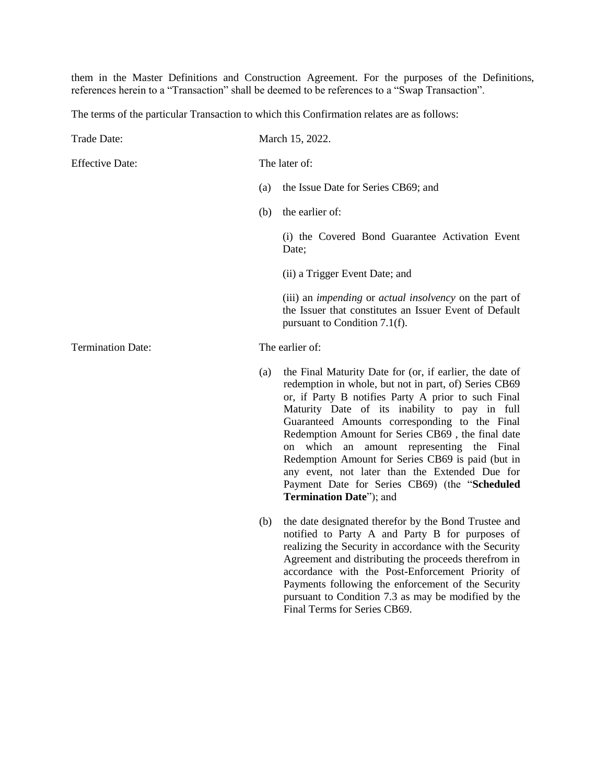them in the Master Definitions and Construction Agreement. For the purposes of the Definitions, references herein to a "Transaction" shall be deemed to be references to a "Swap Transaction".

The terms of the particular Transaction to which this Confirmation relates are as follows:

| Trade Date:              | March 15, 2022. |                                                                                                                                                                                                                                                                                                                                                                                                                                                                                                                                                                 |
|--------------------------|-----------------|-----------------------------------------------------------------------------------------------------------------------------------------------------------------------------------------------------------------------------------------------------------------------------------------------------------------------------------------------------------------------------------------------------------------------------------------------------------------------------------------------------------------------------------------------------------------|
| <b>Effective Date:</b>   |                 | The later of:                                                                                                                                                                                                                                                                                                                                                                                                                                                                                                                                                   |
|                          | (a)             | the Issue Date for Series CB69; and                                                                                                                                                                                                                                                                                                                                                                                                                                                                                                                             |
|                          | (b)             | the earlier of:                                                                                                                                                                                                                                                                                                                                                                                                                                                                                                                                                 |
|                          |                 | (i) the Covered Bond Guarantee Activation Event<br>Date;                                                                                                                                                                                                                                                                                                                                                                                                                                                                                                        |
|                          |                 | (ii) a Trigger Event Date; and                                                                                                                                                                                                                                                                                                                                                                                                                                                                                                                                  |
|                          |                 | (iii) an <i>impending</i> or <i>actual insolvency</i> on the part of<br>the Issuer that constitutes an Issuer Event of Default<br>pursuant to Condition 7.1(f).                                                                                                                                                                                                                                                                                                                                                                                                 |
| <b>Termination Date:</b> |                 | The earlier of:                                                                                                                                                                                                                                                                                                                                                                                                                                                                                                                                                 |
|                          | (a)             | the Final Maturity Date for (or, if earlier, the date of<br>redemption in whole, but not in part, of) Series CB69<br>or, if Party B notifies Party A prior to such Final<br>Maturity Date of its inability to pay in full<br>Guaranteed Amounts corresponding to the Final<br>Redemption Amount for Series CB69, the final date<br>on which an amount representing the Final<br>Redemption Amount for Series CB69 is paid (but in<br>any event, not later than the Extended Due for<br>Payment Date for Series CB69) (the "Scheduled<br>Termination Date"); and |
|                          | (b)             | the date designated therefor by the Bond Trustee and<br>notified to Party A and Party B for purposes of<br>realizing the Security in accordance with the Security<br>Agreement and distributing the proceeds therefrom in<br>accordance with the Post-Enforcement Priority of<br>Payments following the enforcement of the Security<br>pursuant to Condition 7.3 as may be modified by the<br>Final Terms for Series CB69.                                                                                                                                      |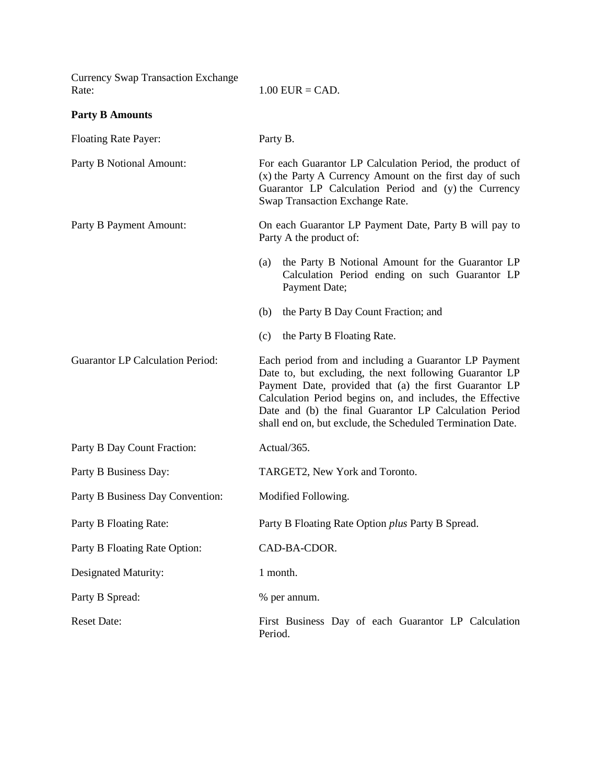| <b>Currency Swap Transaction Exchange</b><br>Rate: | $1.00$ EUR = CAD.                                                                                                                                                                                                                                                                                                                                               |  |
|----------------------------------------------------|-----------------------------------------------------------------------------------------------------------------------------------------------------------------------------------------------------------------------------------------------------------------------------------------------------------------------------------------------------------------|--|
| <b>Party B Amounts</b>                             |                                                                                                                                                                                                                                                                                                                                                                 |  |
| <b>Floating Rate Payer:</b>                        | Party B.                                                                                                                                                                                                                                                                                                                                                        |  |
| Party B Notional Amount:                           | For each Guarantor LP Calculation Period, the product of<br>(x) the Party A Currency Amount on the first day of such<br>Guarantor LP Calculation Period and (y) the Currency<br>Swap Transaction Exchange Rate.                                                                                                                                                 |  |
| Party B Payment Amount:                            | On each Guarantor LP Payment Date, Party B will pay to<br>Party A the product of:                                                                                                                                                                                                                                                                               |  |
|                                                    | the Party B Notional Amount for the Guarantor LP<br>(a)<br>Calculation Period ending on such Guarantor LP<br>Payment Date;                                                                                                                                                                                                                                      |  |
|                                                    | the Party B Day Count Fraction; and<br>(b)                                                                                                                                                                                                                                                                                                                      |  |
|                                                    | the Party B Floating Rate.<br>(c)                                                                                                                                                                                                                                                                                                                               |  |
| <b>Guarantor LP Calculation Period:</b>            | Each period from and including a Guarantor LP Payment<br>Date to, but excluding, the next following Guarantor LP<br>Payment Date, provided that (a) the first Guarantor LP<br>Calculation Period begins on, and includes, the Effective<br>Date and (b) the final Guarantor LP Calculation Period<br>shall end on, but exclude, the Scheduled Termination Date. |  |
| Party B Day Count Fraction:                        | Actual/365.                                                                                                                                                                                                                                                                                                                                                     |  |
| Party B Business Day:                              | TARGET2, New York and Toronto.                                                                                                                                                                                                                                                                                                                                  |  |
| Party B Business Day Convention:                   | Modified Following.                                                                                                                                                                                                                                                                                                                                             |  |
| Party B Floating Rate:                             | Party B Floating Rate Option plus Party B Spread.                                                                                                                                                                                                                                                                                                               |  |
| Party B Floating Rate Option:                      | CAD-BA-CDOR.                                                                                                                                                                                                                                                                                                                                                    |  |
| Designated Maturity:                               | 1 month.                                                                                                                                                                                                                                                                                                                                                        |  |
| Party B Spread:                                    | % per annum.                                                                                                                                                                                                                                                                                                                                                    |  |
| <b>Reset Date:</b>                                 | First Business Day of each Guarantor LP Calculation<br>Period.                                                                                                                                                                                                                                                                                                  |  |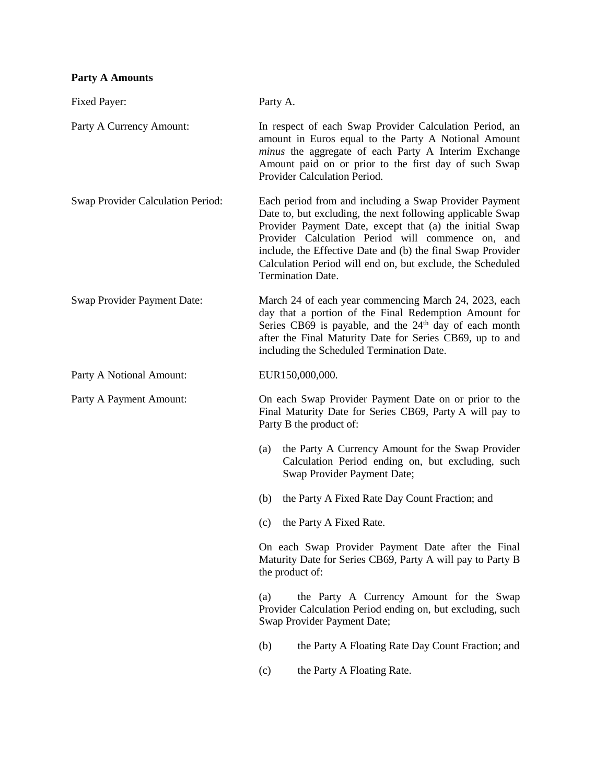## **Party A Amounts**

| Fixed Payer:                      | Party A.                                                                                                                                                                                                                                                                                                                                                                                      |  |  |
|-----------------------------------|-----------------------------------------------------------------------------------------------------------------------------------------------------------------------------------------------------------------------------------------------------------------------------------------------------------------------------------------------------------------------------------------------|--|--|
| Party A Currency Amount:          | In respect of each Swap Provider Calculation Period, an<br>amount in Euros equal to the Party A Notional Amount<br>minus the aggregate of each Party A Interim Exchange<br>Amount paid on or prior to the first day of such Swap<br>Provider Calculation Period.                                                                                                                              |  |  |
| Swap Provider Calculation Period: | Each period from and including a Swap Provider Payment<br>Date to, but excluding, the next following applicable Swap<br>Provider Payment Date, except that (a) the initial Swap<br>Provider Calculation Period will commence on, and<br>include, the Effective Date and (b) the final Swap Provider<br>Calculation Period will end on, but exclude, the Scheduled<br><b>Termination Date.</b> |  |  |
| Swap Provider Payment Date:       | March 24 of each year commencing March 24, 2023, each<br>day that a portion of the Final Redemption Amount for<br>Series CB69 is payable, and the $24th$ day of each month<br>after the Final Maturity Date for Series CB69, up to and<br>including the Scheduled Termination Date.                                                                                                           |  |  |
| Party A Notional Amount:          | EUR150,000,000.                                                                                                                                                                                                                                                                                                                                                                               |  |  |
| Party A Payment Amount:           | On each Swap Provider Payment Date on or prior to the<br>Final Maturity Date for Series CB69, Party A will pay to<br>Party B the product of:                                                                                                                                                                                                                                                  |  |  |
|                                   | the Party A Currency Amount for the Swap Provider<br>(a)<br>Calculation Period ending on, but excluding, such<br>Swap Provider Payment Date;                                                                                                                                                                                                                                                  |  |  |
|                                   | the Party A Fixed Rate Day Count Fraction; and<br>(b)                                                                                                                                                                                                                                                                                                                                         |  |  |
|                                   | the Party A Fixed Rate.<br>(c)                                                                                                                                                                                                                                                                                                                                                                |  |  |
|                                   | On each Swap Provider Payment Date after the Final<br>Maturity Date for Series CB69, Party A will pay to Party B<br>the product of:                                                                                                                                                                                                                                                           |  |  |
|                                   | the Party A Currency Amount for the Swap<br>(a)<br>Provider Calculation Period ending on, but excluding, such<br>Swap Provider Payment Date;                                                                                                                                                                                                                                                  |  |  |
|                                   | (b)<br>the Party A Floating Rate Day Count Fraction; and                                                                                                                                                                                                                                                                                                                                      |  |  |
|                                   | the Party A Floating Rate.<br>(c)                                                                                                                                                                                                                                                                                                                                                             |  |  |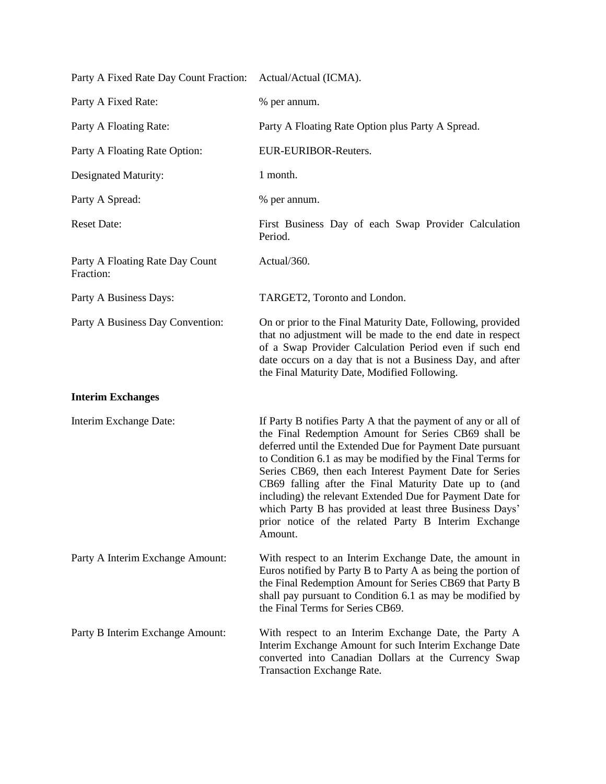| Party A Fixed Rate Day Count Fraction:       | Actual/Actual (ICMA).                                                                                                                                                                                                                                                                                                                                                                                                                                                                                                                                            |
|----------------------------------------------|------------------------------------------------------------------------------------------------------------------------------------------------------------------------------------------------------------------------------------------------------------------------------------------------------------------------------------------------------------------------------------------------------------------------------------------------------------------------------------------------------------------------------------------------------------------|
| Party A Fixed Rate:                          | % per annum.                                                                                                                                                                                                                                                                                                                                                                                                                                                                                                                                                     |
| Party A Floating Rate:                       | Party A Floating Rate Option plus Party A Spread.                                                                                                                                                                                                                                                                                                                                                                                                                                                                                                                |
| Party A Floating Rate Option:                | EUR-EURIBOR-Reuters.                                                                                                                                                                                                                                                                                                                                                                                                                                                                                                                                             |
| Designated Maturity:                         | 1 month.                                                                                                                                                                                                                                                                                                                                                                                                                                                                                                                                                         |
| Party A Spread:                              | % per annum.                                                                                                                                                                                                                                                                                                                                                                                                                                                                                                                                                     |
| <b>Reset Date:</b>                           | First Business Day of each Swap Provider Calculation<br>Period.                                                                                                                                                                                                                                                                                                                                                                                                                                                                                                  |
| Party A Floating Rate Day Count<br>Fraction: | Actual/360.                                                                                                                                                                                                                                                                                                                                                                                                                                                                                                                                                      |
| Party A Business Days:                       | TARGET2, Toronto and London.                                                                                                                                                                                                                                                                                                                                                                                                                                                                                                                                     |
| Party A Business Day Convention:             | On or prior to the Final Maturity Date, Following, provided<br>that no adjustment will be made to the end date in respect<br>of a Swap Provider Calculation Period even if such end<br>date occurs on a day that is not a Business Day, and after<br>the Final Maturity Date, Modified Following.                                                                                                                                                                                                                                                                |
| <b>Interim Exchanges</b>                     |                                                                                                                                                                                                                                                                                                                                                                                                                                                                                                                                                                  |
| Interim Exchange Date:                       | If Party B notifies Party A that the payment of any or all of<br>the Final Redemption Amount for Series CB69 shall be<br>deferred until the Extended Due for Payment Date pursuant<br>to Condition 6.1 as may be modified by the Final Terms for<br>Series CB69, then each Interest Payment Date for Series<br>CB69 falling after the Final Maturity Date up to (and<br>including) the relevant Extended Due for Payment Date for<br>which Party B has provided at least three Business Days'<br>prior notice of the related Party B Interim Exchange<br>Amount. |
| Party A Interim Exchange Amount:             | With respect to an Interim Exchange Date, the amount in<br>Euros notified by Party B to Party A as being the portion of<br>the Final Redemption Amount for Series CB69 that Party B<br>shall pay pursuant to Condition 6.1 as may be modified by<br>the Final Terms for Series CB69.                                                                                                                                                                                                                                                                             |
| Party B Interim Exchange Amount:             | With respect to an Interim Exchange Date, the Party A<br>Interim Exchange Amount for such Interim Exchange Date<br>converted into Canadian Dollars at the Currency Swap<br><b>Transaction Exchange Rate.</b>                                                                                                                                                                                                                                                                                                                                                     |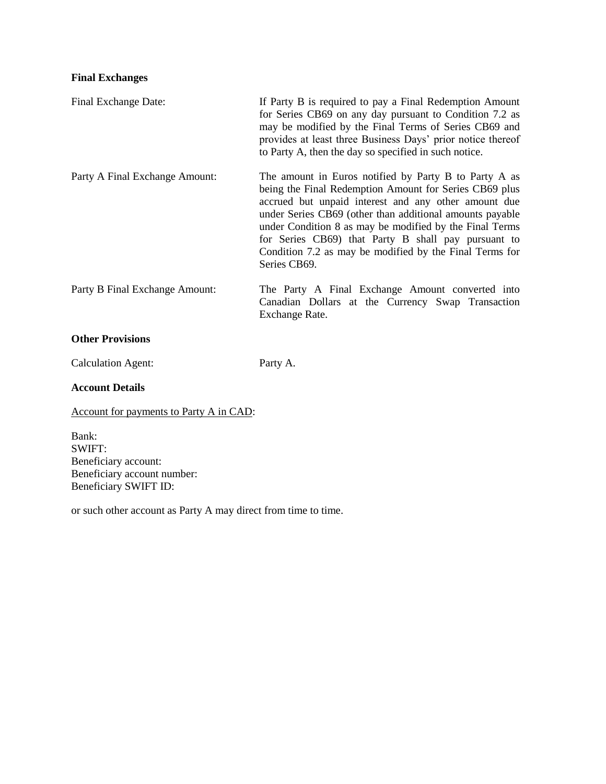### **Final Exchanges**

| Final Exchange Date:           | If Party B is required to pay a Final Redemption Amount<br>for Series CB69 on any day pursuant to Condition 7.2 as<br>may be modified by the Final Terms of Series CB69 and<br>provides at least three Business Days' prior notice thereof<br>to Party A, then the day so specified in such notice.                                                                                                                              |
|--------------------------------|----------------------------------------------------------------------------------------------------------------------------------------------------------------------------------------------------------------------------------------------------------------------------------------------------------------------------------------------------------------------------------------------------------------------------------|
| Party A Final Exchange Amount: | The amount in Euros notified by Party B to Party A as<br>being the Final Redemption Amount for Series CB69 plus<br>accrued but unpaid interest and any other amount due<br>under Series CB69 (other than additional amounts payable<br>under Condition 8 as may be modified by the Final Terms<br>for Series CB69) that Party B shall pay pursuant to<br>Condition 7.2 as may be modified by the Final Terms for<br>Series CB69. |
| Party B Final Exchange Amount: | The Party A Final Exchange Amount converted into<br>Canadian Dollars at the Currency Swap Transaction<br>Exchange Rate.                                                                                                                                                                                                                                                                                                          |
| <b>Other Provisions</b>        |                                                                                                                                                                                                                                                                                                                                                                                                                                  |
| <b>Calculation Agent:</b>      | Party A.                                                                                                                                                                                                                                                                                                                                                                                                                         |

# **Account Details**

Account for payments to Party A in CAD:

Bank: SWIFT: Beneficiary account: Beneficiary account number: Beneficiary SWIFT ID:

or such other account as Party A may direct from time to time.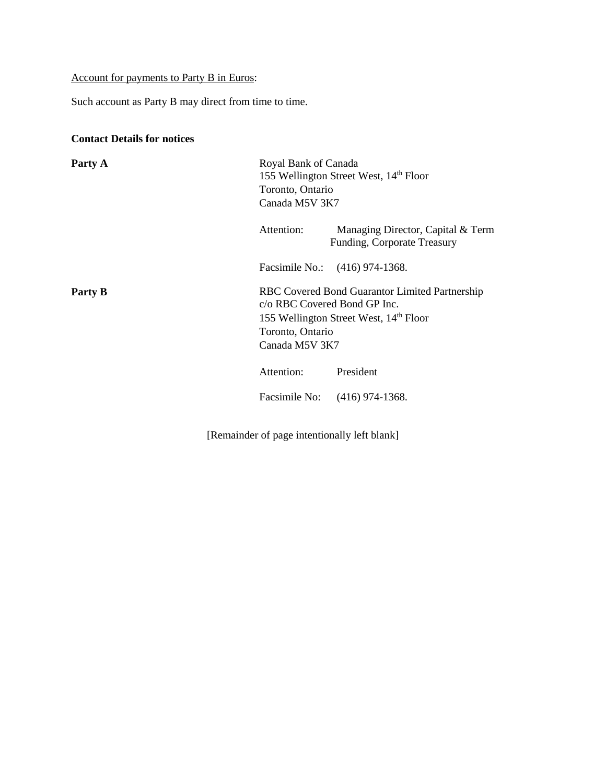## Account for payments to Party B in Euros:

Such account as Party B may direct from time to time.

### **Contact Details for notices**

| Party A | Royal Bank of Canada<br>Toronto, Ontario<br>Canada M5V 3K7         | 155 Wellington Street West, 14th Floor                                                               |
|---------|--------------------------------------------------------------------|------------------------------------------------------------------------------------------------------|
|         | Attention:                                                         | Managing Director, Capital & Term<br>Funding, Corporate Treasury                                     |
|         |                                                                    | Facsimile No.: (416) 974-1368.                                                                       |
| Party B | c/o RBC Covered Bond GP Inc.<br>Toronto, Ontario<br>Canada M5V 3K7 | RBC Covered Bond Guarantor Limited Partnership<br>155 Wellington Street West, 14 <sup>th</sup> Floor |
|         | Attention:                                                         | President                                                                                            |
|         |                                                                    | Facsimile No: (416) 974-1368.                                                                        |

[Remainder of page intentionally left blank]